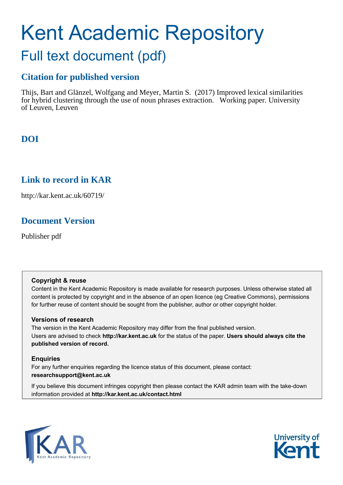# Kent Academic Repository Full text document (pdf)

## **Citation for published version**

Thijs, Bart and Glänzel, Wolfgang and Meyer, Martin S. (2017) Improved lexical similarities for hybrid clustering through the use of noun phrases extraction. Working paper. University of Leuven, Leuven

# **DOI**

## **Link to record in KAR**

http://kar.kent.ac.uk/60719/

# **Document Version**

Publisher pdf

#### **Copyright & reuse**

Content in the Kent Academic Repository is made available for research purposes. Unless otherwise stated all content is protected by copyright and in the absence of an open licence (eg Creative Commons), permissions for further reuse of content should be sought from the publisher, author or other copyright holder.

#### **Versions of research**

The version in the Kent Academic Repository may differ from the final published version. Users are advised to check **http://kar.kent.ac.uk** for the status of the paper. **Users should always cite the published version of record.**

#### **Enquiries**

For any further enquiries regarding the licence status of this document, please contact: **researchsupport@kent.ac.uk**

If you believe this document infringes copyright then please contact the KAR admin team with the take-down information provided at **http://kar.kent.ac.uk/contact.html**



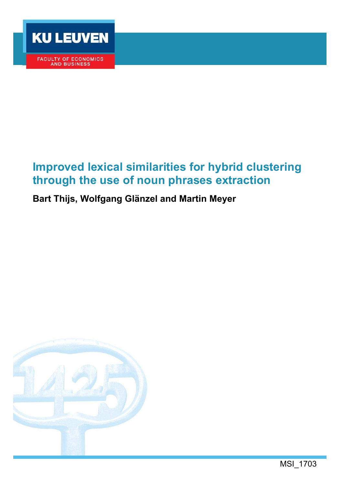

FACULTY OF ECONOMICS<br>AND BUSINESS

# **Improved lexical similarities for hybrid clustering through the use of noun phrases extraction**

# **Bart Thijs, Wolfgang Glänzel and Martin Meyer**

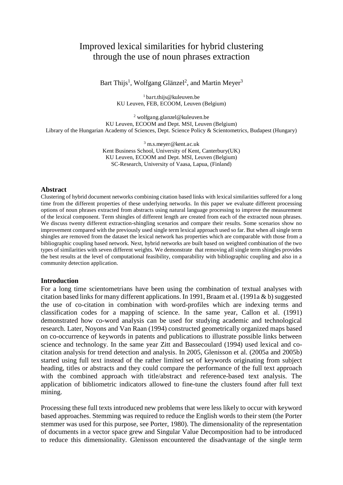### Improved lexical similarities for hybrid clustering through the use of noun phrases extraction

Bart Thijs<sup>1</sup>, Wolfgang Glänzel<sup>2</sup>, and Martin Meyer<sup>3</sup>

<sup>1</sup> bart.thijs@kuleuven.be KU Leuven, FEB, ECOOM, Leuven (Belgium)

2 wolfgang.glanzel@kuleuven.be KU Leuven, ECOOM and Dept. MSI, Leuven (Belgium) Library of the Hungarian Academy of Sciences, Dept. Science Policy & Scientometrics, Budapest (Hungary)

> 3 m.s.meyer@kent.ac.uk Kent Business School, University of Kent, Canterbury(UK) KU Leuven, ECOOM and Dept. MSI, Leuven (Belgium) SC-Research, University of Vaasa, Lapua, (Finland)

#### **Abstract**

Clustering of hybrid document networks combining citation based links with lexical similarities suffered for a long time from the different properties of these underlying networks. In this paper we evaluate different processing options of noun phrases extracted from abstracts using natural language processing to improve the measurement of the lexical component. Term shingles of different length are created from each of the extracted noun phrases. We discuss twenty different extraction-shingling scenarios and compare their results. Some scenarios show no improvement compared with the previously used single term lexical approach used so far. But when all single term shingles are removed from the dataset the lexical network has properties which are comparable with those from a bibliographic coupling based network. Next, hybrid networks are built based on weighted combination of the two types of similarities with seven different weights. We demonstrate that removing all single term shingles provides the best results at the level of computational feasibility, comparability with bibliographic coupling and also in a community detection application.

#### **Introduction**

For a long time scientometrians have been using the combination of textual analyses with citation based links for many different applications. In 1991, Braam et al. (1991a & b) suggested the use of co-citation in combination with word-profiles which are indexing terms and classification codes for a mapping of science. In the same year, Callon et al. (1991) demonstrated how co-word analysis can be used for studying academic and technological research. Later, Noyons and Van Raan (1994) constructed geometrically organized maps based on co-occurrence of keywords in patents and publications to illustrate possible links between science and technology. In the same year Zitt and Bassecoulard (1994) used lexical and cocitation analysis for trend detection and analysis. In 2005, Glenisson et al. (2005a and 2005b) started using full text instead of the rather limited set of keywords originating from subject heading, titles or abstracts and they could compare the performance of the full text approach with the combined approach with title/abstract and reference-based text analysis. The application of bibliometric indicators allowed to fine-tune the clusters found after full text mining.

Processing these full texts introduced new problems that were less likely to occur with keyword based approaches. Stemming was required to reduce the English words to their stem (the Porter stemmer was used for this purpose, see Porter, 1980). The dimensionality of the representation of documents in a vector space grew and Singular Value Decomposition had to be introduced to reduce this dimensionality. Glenisson encountered the disadvantage of the single term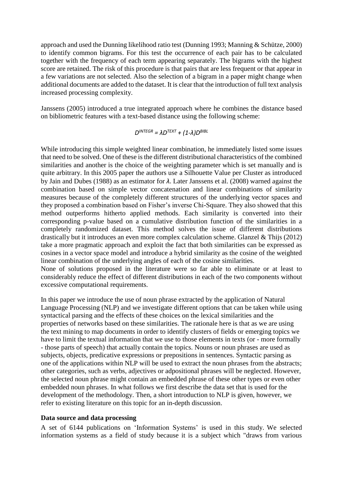approach and used the Dunning likelihood ratio test (Dunning 1993; Manning & Schütze, 2000) to identify common bigrams. For this test the occurrence of each pair has to be calculated together with the frequency of each term appearing separately. The bigrams with the highest score are retained. The risk of this procedure is that pairs that are less frequent or that appear in a few variations are not selected. Also the selection of a bigram in a paper might change when additional documents are added to the dataset. It is clear that the introduction of full text analysis increased processing complexity.

Janssens (2005) introduced a true integrated approach where he combines the distance based on bibliometric features with a text-based distance using the following scheme:

 $D^{INTEGR} = \lambda D^{TEXT} + (1-\lambda)D^{BIBL}$ 

While introducing this simple weighted linear combination, he immediately listed some issues that need to be solved. One of these is the different distributional characteristics of the combined similarities and another is the choice of the weighting parameter which is set manually and is quite arbitrary. In this 2005 paper the authors use a Silhouette Value per Cluster as introduced by Jain and Dubes (1988) as an estimator for  $λ$ . Later Janssens et al. (2008) warned against the combination based on simple vector concatenation and linear combinations of similarity measures because of the completely different structures of the underlying vector spaces and they proposed a combination based on Fisher's inverse Chi-Square. They also showed that this method outperforms hitherto applied methods. Each similarity is converted into their corresponding p-value based on a cumulative distribution function of the similarities in a completely randomized dataset. This method solves the issue of different distributions drastically but it introduces an even more complex calculation scheme. Glanzel & Thijs (2012) take a more pragmatic approach and exploit the fact that both similarities can be expressed as cosines in a vector space model and introduce a hybrid similarity as the cosine of the weighted linear combination of the underlying angles of each of the cosine similarities.

None of solutions proposed in the literature were so far able to eliminate or at least to considerably reduce the effect of different distributions in each of the two components without excessive computational requirements.

In this paper we introduce the use of noun phrase extracted by the application of Natural Language Processing (NLP) and we investigate different options that can be taken while using syntactical parsing and the effects of these choices on the lexical similarities and the properties of networks based on these similarities. The rationale here is that as we are using the text mining to map documents in order to identify clusters of fields or emerging topics we have to limit the textual information that we use to those elements in texts (or - more formally - those parts of speech) that actually contain the topics. Nouns or noun phrases are used as subjects, objects, predicative expressions or prepositions in sentences. Syntactic parsing as one of the applications within NLP will be used to extract the noun phrases from the abstracts; other categories, such as verbs, adjectives or adpositional phrases will be neglected. However, the selected noun phrase might contain an embedded phrase of these other types or even other embedded noun phrases. In what follows we first describe the data set that is used for the development of the methodology. Then, a short introduction to NLP is given, however, we refer to existing literature on this topic for an in-depth discussion.

#### **Data source and data processing**

A set of 6144 publications on 'Information Systems' is used in this study. We selected information systems as a field of study because it is a subject which "draws from various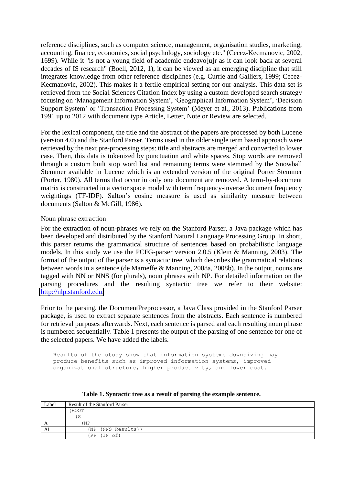reference disciplines, such as computer science, management, organisation studies, marketing, accounting, finance, economics, social psychology, sociology etc." (Cecez-Kecmanovic, 2002, 1699). While it "is not a young field of academic endeavo[u]r as it can look back at several decades of IS research" (Boell, 2012, 1), it can be viewed as an emerging discipline that still integrates knowledge from other reference disciplines (e.g. Currie and Galliers, 1999; Cecez-Kecmanovic, 2002). This makes it a fertile empirical setting for our analysis. This data set is retrieved from the Social Sciences Citation Index by using a custom developed search strategy focusing on 'Management Information System', 'Geographical Information System', 'Decision Support System' or 'Transaction Processing System' (Meyer et al., 2013). Publications from 1991 up to 2012 with document type Article, Letter, Note or Review are selected.

For the lexical component, the title and the abstract of the papers are processed by both Lucene (version 4.0) and the Stanford Parser. Terms used in the older single term based approach were retrieved by the next pre-processing steps: title and abstracts are merged and converted to lower case. Then, this data is tokenized by punctuation and white spaces. Stop words are removed through a custom built stop word list and remaining terms were stemmed by the Snowball Stemmer available in Lucene which is an extended version of the original Porter Stemmer (Porter, 1980). All terms that occur in only one document are removed. A term-by-document matrix is constructed in a vector space model with term frequency-inverse document frequency weightings (TF-IDF). Salton's cosine measure is used as similarity measure between documents (Salton & McGill, 1986).

#### Noun phrase extraction

For the extraction of noun-phrases we rely on the Stanford Parser, a Java package which has been developed and distributed by the Stanford Natural Language Processing Group. In short, this parser returns the grammatical structure of sentences based on probabilistic language models. In this study we use the PCFG-parser version 2.0.5 (Klein & Manning, 2003). The format of the output of the parser is a syntactic tree which describes the grammatical relations between words in a sentence (de Marneffe & Manning, 2008a, 2008b). In the output, nouns are tagged with NN or NNS (for plurals), noun phrases with NP. For detailed information on the parsing procedures and the resulting syntactic tree we refer to their website: [http://nlp.stanford.edu.](http://nlp.stanford.edu/)

Prior to the parsing, the DocumentPreprocessor, a Java Class provided in the Stanford Parser package, is used to extract separate sentences from the abstracts. Each sentence is numbered for retrieval purposes afterwards. Next, each sentence is parsed and each resulting noun phrase is numbered sequentially. Table 1 presents the output of the parsing of one sentence for one of the selected papers. We have added the labels.

Results of the study show that information systems downsizing may produce benefits such as improved information systems, improved organizational structure, higher productivity, and lower cost.

| Label | <b>Result of the Stanford Parser</b> |
|-------|--------------------------------------|
|       | (ROOT                                |
|       | 5                                    |
| A     | (NP                                  |
| Al    | (NP (NNS Results))                   |
|       | (PP (IN of))                         |

**Table 1. Syntactic tree as a result of parsing the example sentence.**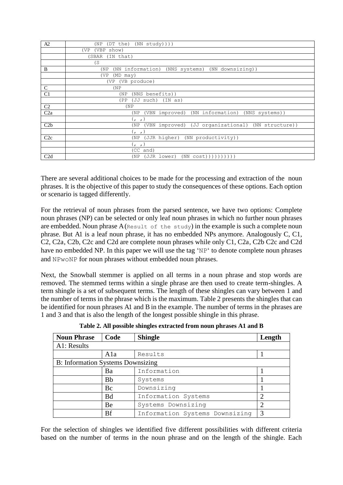| A2             | (DT the)<br>$(NN$ study $))$ )<br>(NP                      |
|----------------|------------------------------------------------------------|
|                | (VBP show)<br>(VP                                          |
|                | (IN that)<br>(SBAR                                         |
|                | (S)                                                        |
| B              | (NN information) (NNS systems) (NN downsizing))<br>(NP)    |
|                | (VP<br>$(MD$ may)                                          |
|                | (VB produce)<br>(VP                                        |
| $\mathsf{C}$   | (NP)                                                       |
| C <sub>1</sub> | (NNS benefits))<br>(NP)                                    |
|                | (IN as)<br>(PP<br>(JJ such)                                |
| C <sub>2</sub> | (NP)                                                       |
| C2a            | (VBN improved) (NN information)<br>(NNS systems))<br>(NP)  |
|                | (r, r)                                                     |
| C2b            | (VBN improved) (JJ organizational) (NN structure))<br>(NP) |
|                | (r, r)                                                     |
| C2c            | (NN productivity))<br>(JJR higher)<br>(NP)                 |
|                | (r, r)                                                     |
|                | (CC and)                                                   |
| C2d            | $(NN \cos t))))))))))$<br>(NP)<br>(JJR lower)              |

There are several additional choices to be made for the processing and extraction of the noun phrases. It is the objective of this paper to study the consequences of these options. Each option or scenario is tagged differently.

For the retrieval of noun phrases from the parsed sentence, we have two options: Complete noun phrases (NP) can be selected or only leaf noun phrases in which no further noun phrases are embedded. Noun phrase  $A$  (Result of the study) in the example is such a complete noun phrase. But A1 is a leaf noun phrase, it has no embedded NPs anymore. Analogously C, C1, C2, C2a, C2b, C2c and C2d are complete noun phrases while only C1, C2a, C2b C2c and C2d have no embedded NP. In this paper we will use the tag 'NP' to denote complete noun phrases and NPwoNP for noun phrases without embedded noun phrases.

Next, the Snowball stemmer is applied on all terms in a noun phrase and stop words are removed. The stemmed terms within a single phrase are then used to create term-shingles. A term shingle is a set of subsequent terms. The length of these shingles can vary between 1 and the number of terms in the phrase which is the maximum. Table 2 presents the shingles that can be identified for noun phrases A1 and B in the example. The number of terms in the phrases are 1 and 3 and that is also the length of the longest possible shingle in this phrase.

| <b>Noun Phrase</b>                | Code      | <b>Shingle</b>                 | Length        |
|-----------------------------------|-----------|--------------------------------|---------------|
| A1: Results                       |           |                                |               |
|                                   | Ala       | Results                        |               |
| B: Information Systems Downsizing |           |                                |               |
|                                   | Ba        | Information                    |               |
|                                   | Bb        | Systems                        |               |
|                                   | Bc        | Downsizing                     |               |
|                                   | <b>Bd</b> | Information Systems            | ◠             |
|                                   | Be        | Systems Downsizing             |               |
|                                   | Bf        | Information Systems Downsizing | $\mathcal{R}$ |

**Table 2. All possible shingles extracted from noun phrases A1 and B** 

For the selection of shingles we identified five different possibilities with different criteria based on the number of terms in the noun phrase and on the length of the shingle. Each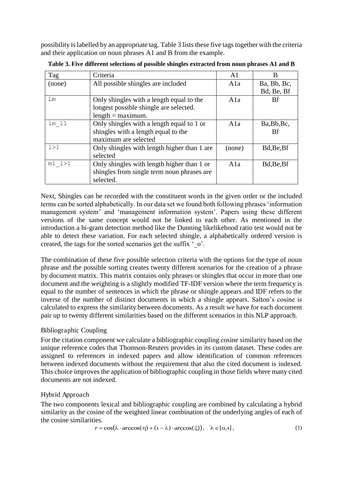possibility is labelled by an appropriate tag. Table 3 lists these five tags together with the criteria and their application on noun phrases A1 and B from the example.

| Tag              | Criteria                                    | A1     | В           |
|------------------|---------------------------------------------|--------|-------------|
| (none)           | All possible shingles are included          | Ala    | Ba, Bb, Bc, |
|                  |                                             |        | Bd, Be, Bf  |
| Lm               | Only shingles with a length equal to the    | A1a    | Bf          |
|                  | longest possible shingle are selected.      |        |             |
|                  | $length = maximum.$                         |        |             |
| lm <sub>11</sub> | Only shingles with a length equal to 1 or   | A1a    | Ba, Bb, Bc, |
|                  | shingles with a length equal to the         |        | Bf          |
|                  | maximum are selected                        |        |             |
| 1 > 1            | Only shingles with length higher than 1 are | (none) | Bd, Be, Bf  |
|                  | selected                                    |        |             |
| $m1$ $1>1$       | Only shingles with length higher than 1 or  | A1a    | Bd, Be, Bf  |
|                  | shingles from single term noun phrases are  |        |             |
|                  | selected.                                   |        |             |

**Table 3. Five different selections of possible shingles extracted from noun phrases A1 and B** 

Next, Shingles can be recorded with the constituent words in the given order or the included terms can be sorted alphabetically. In our data set we found both following phrases 'information management system' and 'management information system'. Papers using these different versions of the same concept would not be linked to each other. As mentioned in the introduction a bi-gram detection method like the Dunning likelikehood ratio test would not be able to detect these variation. For each selected shingle, a alphabetically ordered version is created, the tags for the sorted scenarios get the suffix 'o'.

The combination of these five possible selection criteria with the options for the type of noun phrase and the possible sorting creates twenty different scenarios for the creation of a phrase by document matrix. This matrix contains only phrases or shingles that occur in more than one document and the weighting is a slightly modified TF-IDF version where the term frequency is equal to the number of sentences in which the phrase or shingle appears and IDF refers to the inverse of the number of distinct documents in which a shingle appears. Salton's cosine is calculated to express the similarity between documents. As a result we have for each document pair up to twenty different similarities based on the different scenarios in this NLP approach.

#### Bibliographic Coupling

For the citation component we calculate a bibliographic coupling cosine similarity based on the unique reference codes that Thomson-Reuters provides in its custom dataset. These codes are assigned to references in indexed papers and allow identification of common references between indexed documents without the requirement that also the cited document is indexed. This choice improves the application of bibliographic coupling in those fields where many cited documents are not indexed.

#### Hybrid Approach

The two components lexical and bibliographic coupling are combined by calculating a hybrid similarity as the cosine of the weighted linear combination of the underlying angles of each of the cosine similarities.

$$
r = \cos(\lambda \cdot \arccos(\eta) + (1 - \lambda) \cdot \arccos(\xi)), \quad \lambda \in [0, 1],
$$
 (1)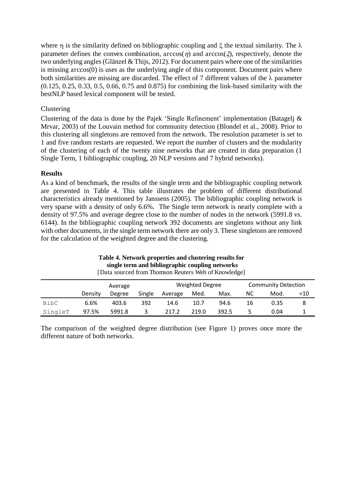where  $\eta$  is the similarity defined on bibliographic coupling and  $\xi$  the textual similarity. The  $\lambda$ parameter defines the convex combination,  $arccos(\eta)$  and  $arccos(\xi)$ , respectively, denote the two underlying angles (Glänzel & Thijs, 2012). For document pairs where one of the similarities is missing arccos(0) is uses as the underlying angle of this component. Document pairs where both similarities are missing are discarded. The effect of 7 different values of the  $\lambda$  parameter (0.125, 0.25, 0.33, 0.5, 0.66, 0.75 and 0.875) for combining the link-based similarity with the bestNLP based lexical component will be tested.

#### Clustering

Clustering of the data is done by the Pajek 'Single Refinement' implementation (Batagelj & Mrvar, 2003) of the Louvain method for community detection (Blondel et al., 2008). Prior to this clustering all singletons are removed from the network. The resolution parameter is set to 1 and five random restarts are requested. We report the number of clusters and the modularity of the clustering of each of the twenty nine networks that are created in data preparation (1 Single Term, 1 bibliographic coupling, 20 NLP versions and 7 hybrid networks).

#### **Results**

As a kind of benchmark, the results of the single term and the bibliographic coupling network are presented in Table 4. This table illustrates the problem of different distributional characteristics already mentioned by Janssens (2005). The bibliographic coupling network is very sparse with a density of only 6.6%. The Single term network is nearly complete with a density of 97.5% and average degree close to the number of nodes in the network (5991.8 vs. 6144). In the bibliographic coupling network 392 documents are singletons without any link with other documents, in the single term network there are only 3. These singletons are removed for the calculation of the weighted degree and the clustering.

#### **Table 4. Network properties and clustering results for single term and bibliographic coupling networks**

|         |         | Average |        |         | <b>Weighted Degree</b> |       | <b>Community Detection</b> |      |     |
|---------|---------|---------|--------|---------|------------------------|-------|----------------------------|------|-----|
|         | Density | Degree  | Single | Average | Med.                   | Max.  | NС                         | Mod. | <10 |
| BibC    | 6.6%    | 403.6   | 392    | 14.6    | 10.7                   | 94.6  | 16                         | 0.35 | 8   |
| SingleT | 97.5%   | 5991.8  |        | 217.2   | 219.0                  | 392.5 |                            | 0.04 |     |

[Data sourced from Thomson Reuters Web of Knowledge]

The comparison of the weighted degree distribution (see Figure 1) proves once more the different nature of both networks.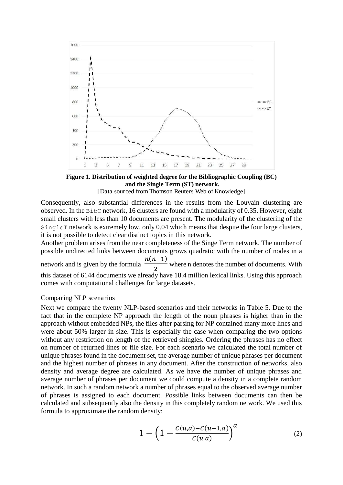

**Figure 1. Distribution of weighted degree for the Bibliographic Coupling (BC) and the Single Term (ST) network.** 

[Data sourced from Thomson Reuters Web of Knowledge]

Consequently, also substantial differences in the results from the Louvain clustering are observed. In the BibC network, 16 clusters are found with a modularity of 0.35. However, eight small clusters with less than 10 documents are present. The modularity of the clustering of the SingleT network is extremely low, only 0.04 which means that despite the four large clusters, it is not possible to detect clear distinct topics in this network.

Another problem arises from the near completeness of the Singe Term network. The number of possible undirected links between documents grows quadratic with the number of nodes in a network and is given by the formula  $\frac{n(n-1)}{2}$ 態 where n denotes the number of documents. With this dataset of 6144 documents we already have 18.4 million lexical links. Using this approach comes with computational challenges for large datasets.

#### Comparing NLP scenarios

Next we compare the twenty NLP-based scenarios and their networks in Table 5. Due to the fact that in the complete NP approach the length of the noun phrases is higher than in the approach without embedded NPs, the files after parsing for NP contained many more lines and were about 50% larger in size. This is especially the case when comparing the two options without any restriction on length of the retrieved shingles. Ordering the phrases has no effect on number of returned lines or file size. For each scenario we calculated the total number of unique phrases found in the document set, the average number of unique phrases per document and the highest number of phrases in any document. After the construction of networks, also density and average degree are calculated. As we have the number of unique phrases and average number of phrases per document we could compute a density in a complete random network. In such a random network a number of phrases equal to the observed average number of phrases is assigned to each document. Possible links between documents can then be calculated and subsequently also the density in this completely random network. We used this formula to approximate the random density:

$$
1 - \left(1 - \frac{C(u,a) - C(u-1,a)}{C(u,a)}\right)^a \tag{2}
$$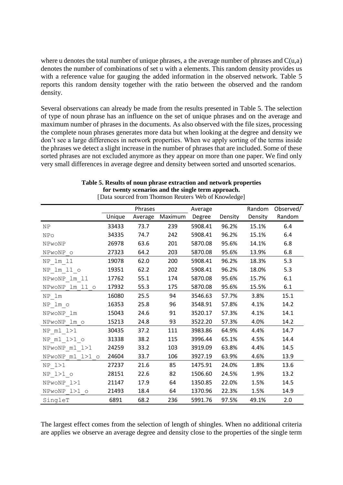where u denotes the total number of unique phrases, a the average number of phrases and  $C(u,a)$ denotes the number of combinations of set u with a elements. This random density provides us with a reference value for gauging the added information in the observed network. Table 5 reports this random density together with the ratio between the observed and the random density.

Several observations can already be made from the results presented in Table 5. The selection of type of noun phrase has an influence on the set of unique phrases and on the average and maximum number of phrases in the documents. As also observed with the file sizes, processing the complete noun phrases generates more data but when looking at the degree and density we don't see a large differences in network properties. When we apply sorting of the terms inside the phrases we detect a slight increase in the number of phrases that are included. Some of these sorted phrases are not excluded anymore as they appear on more than one paper. We find only very small differences in average degree and density between sorted and unsorted scenarios.

|                   |        | Phrases |         | Average |         | Random  | Observed/ |
|-------------------|--------|---------|---------|---------|---------|---------|-----------|
|                   | Unique | Average | Maximum | Degree  | Density | Density | Random    |
| <b>NP</b>         | 33433  | 73.7    | 239     | 5908.41 | 96.2%   | 15.1%   | 6.4       |
| NPo               | 34335  | 74.7    | 242     | 5908.41 | 96.2%   | 15.1%   | 6.4       |
| NPwoNP            | 26978  | 63.6    | 201     | 5870.08 | 95.6%   | 14.1%   | 6.8       |
| NPwoNP o          | 27323  | 64.2    | 203     | 5870.08 | 95.6%   | 13.9%   | 6.8       |
| NP 1m 11          | 19078  | 62.0    | 200     | 5908.41 | 96.2%   | 18.3%   | 5.3       |
| NP lm 11 o        | 19351  | 62.2    | 202     | 5908.41 | 96.2%   | 18.0%   | 5.3       |
| NPwoNP 1m 11      | 17762  | 55.1    | 174     | 5870.08 | 95.6%   | 15.7%   | 6.1       |
| NPwoNP lm 11 o    | 17932  | 55.3    | 175     | 5870.08 | 95.6%   | 15.5%   | 6.1       |
| $NP_1m$           | 16080  | 25.5    | 94      | 3546.63 | 57.7%   | 3.8%    | 15.1      |
| NP lm o           | 16353  | 25.8    | 96      | 3548.91 | 57.8%   | 4.1%    | 14.2      |
| NPwoNP 1m         | 15043  | 24.6    | 91      | 3520.17 | 57.3%   | 4.1%    | 14.1      |
| NPwoNP lm o       | 15213  | 24.8    | 93      | 3522.20 | 57.3%   | 4.0%    | 14.2      |
| $NP$ $m1$ $1>1$   | 30435  | 37.2    | 111     | 3983.86 | 64.9%   | 4.4%    | 14.7      |
| $NP$ $m1$ $1>1$ o | 31338  | 38.2    | 115     | 3996.44 | 65.1%   | 4.5%    | 14.4      |
| NPwoNP m1 1>1     | 24259  | 33.2    | 103     | 3919.09 | 63.8%   | 4.4%    | 14.5      |
| NPwoNP m1 1>1 o   | 24604  | 33.7    | 106     | 3927.19 | 63.9%   | 4.6%    | 13.9      |
| $NP$ $1>1$        | 27237  | 21.6    | 85      | 1475.91 | 24.0%   | 1.8%    | 13.6      |
| NP 1>1 o          | 28151  | 22.6    | 82      | 1506.60 | 24.5%   | 1.9%    | 13.2      |
| NPwoNP 1>1        | 21147  | 17.9    | 64      | 1350.85 | 22.0%   | 1.5%    | 14.5      |
| NPwoNP 1>1 o      | 21493  | 18.4    | 64      | 1370.96 | 22.3%   | 1.5%    | 14.9      |
| SingleT           | 6891   | 68.2    | 236     | 5991.76 | 97.5%   | 49.1%   | 2.0       |

**Table 5. Results of noun phrase extraction and network properties for twenty scenarios and the single term approach.**  [Data sourced from Thomson Reuters Web of Knowledge]

The largest effect comes from the selection of length of shingles. When no additional criteria are applies we observe an average degree and density close to the properties of the single term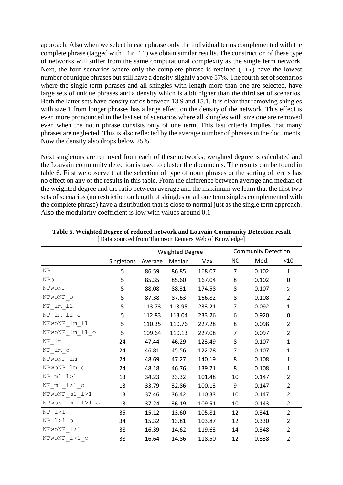approach. Also when we select in each phrase only the individual terms complemented with the complete phrase (tagged with  $\pm m \pm 1$ ) we obtain similar results. The construction of these type of networks will suffer from the same computational complexity as the single term network. Next, the four scenarios where only the complete phrase is retained  $(\perp m)$  have the lowest number of unique phrases but still have a density slightly above 57%. The fourth set of scenarios where the single term phrases and all shingles with length more than one are selected, have large sets of unique phrases and a density which is a bit higher than the third set of scenarios. Both the latter sets have density ratios between 13.9 and 15.1. It is clear that removing shingles with size 1 from longer phrases has a large effect on the density of the network. This effect is even more pronounced in the last set of scenarios where all shingles with size one are removed even when the noun phrase consists only of one term. This last criteria implies that many phrases are neglected. This is also reflected by the average number of phrases in the documents. Now the density also drops below 25%.

Next singletons are removed from each of these networks, weighted degree is calculated and the Louvain community detection is used to cluster the documents. The results can be found in table 6. First we observe that the selection of type of noun phrases or the sorting of terms has no effect on any of the results in this table. From the difference between average and median of the weighted degree and the ratio between average and the maximum we learn that the first two sets of scenarios (no restriction on length of shingles or all one term singles complemented with the complete phrase) have a distribution that is close to normal just as the single term approach. Also the modularity coefficient is low with values around 0.1

|                   |            | <b>Weighted Degree</b> |        |        |                | <b>Community Detection</b> |                |  |  |
|-------------------|------------|------------------------|--------|--------|----------------|----------------------------|----------------|--|--|
|                   | Singletons | Average                | Median | Max    | <b>NC</b>      | Mod.                       | < 10           |  |  |
| NP                | 5          | 86.59                  | 86.85  | 168.07 | $\overline{7}$ | 0.102                      | $\mathbf{1}$   |  |  |
| NPo               | 5          | 85.35                  | 85.60  | 167.04 | 8              | 0.102                      | 0              |  |  |
| NPwoNP            | 5          | 88.08                  | 88.31  | 174.58 | 8              | 0.107                      | $\mathbf{2}$   |  |  |
| NPwoNP o          | 5          | 87.38                  | 87.63  | 166.82 | 8              | 0.108                      | $\overline{2}$ |  |  |
| NP lm 11          | 5          | 113.73                 | 113.95 | 233.21 | $\overline{7}$ | 0.092                      | $\mathbf{1}$   |  |  |
| NP lm 11 o        | 5          | 112.83                 | 113.04 | 233.26 | 6              | 0.920                      | 0              |  |  |
| NPwoNP_lm_11      | 5          | 110.35                 | 110.76 | 227.28 | 8              | 0.098                      | $\overline{2}$ |  |  |
| NPwoNP 1m 11 o    | 5          | 109.64                 | 110.13 | 227.08 | 7              | 0.097                      | 2              |  |  |
| NP lm             | 24         | 47.44                  | 46.29  | 123.49 | 8              | 0.107                      | $\mathbf{1}$   |  |  |
| NP lm o           | 24         | 46.81                  | 45.56  | 122.78 | $\overline{7}$ | 0.107                      | 1              |  |  |
| NPwoNP 1m         | 24         | 48.69                  | 47.27  | 140.19 | 8              | 0.108                      | 1              |  |  |
| NPwoNP lm_o       | 24         | 48.18                  | 46.76  | 139.71 | 8              | 0.108                      | 1              |  |  |
| $NP$ $m1$ $1>1$   | 13         | 34.23                  | 33.32  | 101.48 | 10             | 0.147                      | $\overline{2}$ |  |  |
| $NP$ $m1$ $1>1$ o | 13         | 33.79                  | 32.86  | 100.13 | 9              | 0.147                      | $\overline{2}$ |  |  |
| NPwoNP m1 1>1     | 13         | 37.46                  | 36.42  | 110.33 | 10             | 0.147                      | 2              |  |  |
| NPwoNP m1 1>1 o   | 13         | 37.24                  | 36.19  | 109.51 | 10             | 0.143                      | 2              |  |  |
| $NP$ $1>1$        | 35         | 15.12                  | 13.60  | 105.81 | 12             | 0.341                      | $\overline{2}$ |  |  |
| NP 1>1 o          | 34         | 15.32                  | 13.81  | 103.87 | 12             | 0.330                      | 2              |  |  |
| NPwoNP_1>1        | 38         | 16.39                  | 14.62  | 119.63 | 14             | 0.348                      | $\overline{2}$ |  |  |
| NPwoNP 1>1 o      | 38         | 16.64                  | 14.86  | 118.50 | 12             | 0.338                      | $\overline{2}$ |  |  |

**Table 6. Weighted Degree of reduced network and Louvain Community Detection result**  [Data sourced from Thomson Reuters Web of Knowledge]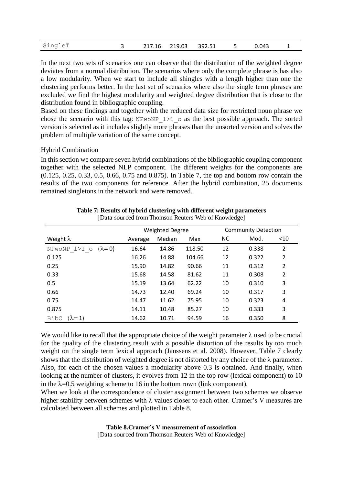| SingleT |  | 217.16 219.03 |  | 392.51 |  | 0.043 |  |  |
|---------|--|---------------|--|--------|--|-------|--|--|
|---------|--|---------------|--|--------|--|-------|--|--|

In the next two sets of scenarios one can observe that the distribution of the weighted degree deviates from a normal distribution. The scenarios where only the complete phrase is has also a low modularity. When we start to include all shingles with a length higher than one the clustering performs better. In the last set of scenarios where also the single term phrases are excluded we find the highest modularity and weighted degree distribution that is close to the distribution found in bibliographic coupling.

Based on these findings and together with the reduced data size for restricted noun phrase we chose the scenario with this tag: NPwoNP  $1>1$  o as the best possible approach. The sorted version is selected as it includes slightly more phrases than the unsorted version and solves the problem of multiple variation of the same concept.

#### Hybrid Combination

In this section we compare seven hybrid combinations of the bibliographic coupling component together with the selected NLP component. The different weights for the components are (0.125, 0.25, 0.33, 0.5, 0.66, 0.75 and 0.875). In Table 7, the top and bottom row contain the results of the two components for reference. After the hybrid combination, 25 documents remained singletons in the network and were removed.

|                              |         | <b>Weighted Degree</b> |        | <b>Community Detection</b> |       |                |
|------------------------------|---------|------------------------|--------|----------------------------|-------|----------------|
| Weight $\lambda$             | Average | Median                 | Max    | <b>NC</b>                  | Mod.  | $<$ 10         |
| NPwoNP $1>1$ o $(\lambda=0)$ | 16.64   | 14.86                  | 118.50 | 12                         | 0.338 | $\overline{2}$ |
| 0.125                        | 16.26   | 14.88                  | 104.66 | 12                         | 0.322 | 2              |
| 0.25                         | 15.90   | 14.82                  | 90.66  | 11                         | 0.312 | 2              |
| 0.33                         | 15.68   | 14.58                  | 81.62  | 11                         | 0.308 | $\overline{2}$ |
| 0.5                          | 15.19   | 13.64                  | 62.22  | 10                         | 0.310 | 3              |
| 0.66                         | 14.73   | 12.40                  | 69.24  | 10                         | 0.317 | 3              |
| 0.75                         | 14.47   | 11.62                  | 75.95  | 10                         | 0.323 | 4              |
| 0.875                        | 14.11   | 10.48                  | 85.27  | 10                         | 0.333 | 3              |
| $(\lambda=1)$<br>BibC        | 14.62   | 10.71                  | 94.59  | 16                         | 0.350 | 8              |

**Table 7: Results of hybrid clustering with different weight parameters**  [Data sourced from Thomson Reuters Web of Knowledge]

We would like to recall that the appropriate choice of the weight parameter  $\lambda$  used to be crucial for the quality of the clustering result with a possible distortion of the results by too much weight on the single term lexical approach (Janssens et al. 2008). However, Table 7 clearly shows that the distribution of weighted degree is not distorted by any choice of the  $\lambda$  parameter. Also, for each of the chosen values a modularity above 0.3 is obtained. And finally, when looking at the number of clusters, it evolves from 12 in the top row (lexical component) to 10 in the  $\lambda$ =0.5 weighting scheme to 16 in the bottom rown (link component).

When we look at the correspondence of cluster assignment between two schemes we observe higher stability between schemes with  $\lambda$  values closer to each other. Cramer's V measures are calculated between all schemes and plotted in Table 8.

#### **Table 8.Cramer's V measurement of association** [Data sourced from Thomson Reuters Web of Knowledge]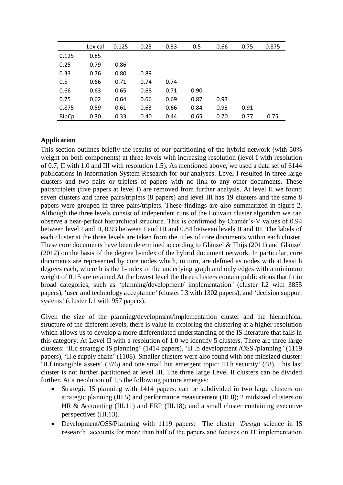|               | Lexical | 0.125 | 0.25 | 0.33 | 0.5  | 0.66 | 0.75 | 0.875 |
|---------------|---------|-------|------|------|------|------|------|-------|
| 0.125         | 0.85    |       |      |      |      |      |      |       |
| 0.25          | 0.79    | 0.86  |      |      |      |      |      |       |
| 0.33          | 0.76    | 0.80  | 0.89 |      |      |      |      |       |
| 0.5           | 0.66    | 0.71  | 0.74 | 0.74 |      |      |      |       |
| 0.66          | 0.63    | 0.65  | 0.68 | 0.71 | 0.90 |      |      |       |
| 0.75          | 0.62    | 0.64  | 0.66 | 0.69 | 0.87 | 0.93 |      |       |
| 0.875         | 0.59    | 0.61  | 0.63 | 0.66 | 0.84 | 0.93 | 0.91 |       |
| <b>BibCpl</b> | 0.30    | 0.33  | 0.40 | 0.44 | 0.65 | 0.70 | 0.77 | 0.75  |

#### **Application**

This section outlines briefly the results of our partitioning of the hybrid network (with 50% weight on both components) at three levels with increasing resolution (level I with resolution of 0.7; II with 1.0 and III with resolution 1.5). As mentioned above, we used a data set of 6144 publications in Information System Research for our analyses. Level I resulted in three large clusters and two pairs or triplets of papers with no link to any other documents. These pairs/triplets (five papers at level I) are removed from further analysis. At level II we found seven clusters and three pairs/triplets (8 papers) and level III has 19 clusters and the same 8 papers were grouped in three pairs/triplets. These findings are also summarized in figure 2. Although the three levels consist of independent runs of the Louvain cluster algorithm we can observe a near-perfect hierarchical structure. This is confirmed by Cramér's-V values of 0.94 between level I and II, 0.93 between I and III and 0.84 between levels II and III. The labels of each cluster at the three levels are taken from the titles of core documents within each cluster. These core documents have been determined according to Glänzel & Thijs (2011) and Glänzel (2012) on the basis of the degree h-index of the hybrid document network. In particular, core documents are represented by core nodes which, in turn, are defined as nodes with at least h degrees each, where h is the h-index of the underlying graph and only edges with a minimum weight of 0.15 are retained.At the lowest level the three clusters contain publications that fit in broad categories, such as 'planning/development/ implementation*'* (cluster I.2 with 3855 papers), 'user and technology acceptance*'* (cluster I.3 with 1302 papers), and 'decision support systems*'* (cluster I.1 with 957 papers).

Given the size of the planning/development/implementation cluster and the hierarchical structure of the different levels, there is value in exploring the clustering at a higher resolution which allows us to develop a more differentiated understanding of the IS literature that falls in this category. At Level II with a resolution of 1.0 we identify 5 clusters. There are three large clusters: 'II.c strategic IS planning' (1414 papers), 'II .b development /OSS /planning*'* (1119 papers), 'II.e supply chain' (1108). Smaller clusters were also found with one midsized cluster: 'II.f intangible assets' (376) and one small but emergent topic: 'II.h security' (48). This last cluster is not further partitioned at level III. The three large Level II clusters can be divided further. At a resolution of 1.5 the following picture emerges:

- Strategic IS planning with 1414 papers: can be subdivided in two large clusters on strategic planning (III.5) and performance measurement (III.8); 2 midsized clusters on HR & Accounting (III.11) and ERP (III.18); and a small cluster containing executive perspectives (III.13).
- Development/OSS/Planning with 1119 papers: The cluster *'Desi*gn science in IS research' accounts for more than half of the papers and focuses on IT implementation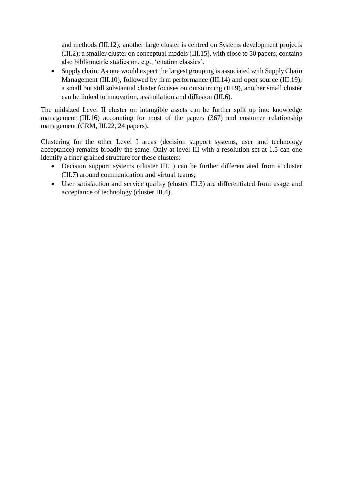and methods (III.12); another large cluster is centred on Systems development projects (III.2); a smaller cluster on conceptual models (III.15), with close to 50 papers, contains also bibliometric studies on, e.g., 'citation classics'.

• Supply chain: As one would expect the largest grouping is associated with Supply Chain Management (III.10), followed by firm performance (III.14) and open source (III.19); a small but still substantial cluster focuses on outsourcing (III.9), another small cluster can be linked to innovation, assimilation and diffusion (III.6).

The midsized Level II cluster on intangible assets can be further split up into knowledge management (III.16) accounting for most of the papers (367) and customer relationship management (CRM, III.22, 24 papers).

Clustering for the other Level I areas (decision support systems, user and technology acceptance) remains broadly the same. Only at level III with a resolution set at 1.5 can one identify a finer grained structure for these clusters:

- Decision support systems (cluster III.1) can be further differentiated from a cluster (III.7) around communication and virtual teams;
- User satisfaction and service quality (cluster III.3) are differentiated from usage and acceptance of technology (cluster III.4).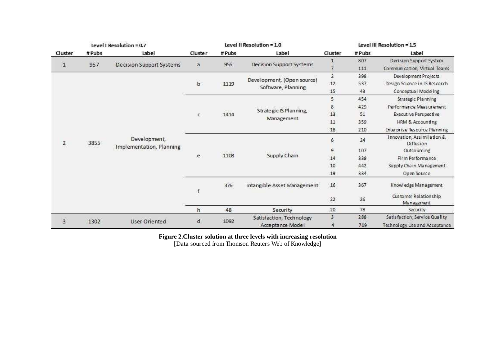| Level I Resolution = 0.7 |       |                                 |             | Level II Resolution = 1.0 |                                                  |           | Level III Resolution = 1.5 |                                                |
|--------------------------|-------|---------------------------------|-------------|---------------------------|--------------------------------------------------|-----------|----------------------------|------------------------------------------------|
| Cluster                  | #Pubs | Label                           | Cluster     | # Pubs                    | Label                                            | Cluster   | # Pubs                     | Label                                          |
|                          |       |                                 |             |                           |                                                  |           | 807                        | Decision Support System                        |
| $\mathbf{1}$             | 957   | <b>Decision Support Systems</b> | a           | 955                       | Decision Support Systems                         | 7         | 111                        | Communication, Virtual Teams                   |
|                          |       |                                 |             |                           |                                                  | $\bar{2}$ | 398                        | Development Projects                           |
|                          |       |                                 | b           | 1119                      | Development, (Open source)<br>Software, Planning | 12        | 537                        | Design Science in IS Research                  |
|                          |       |                                 |             |                           |                                                  | 15        | 43                         | Conceptual Modeling                            |
|                          |       |                                 |             |                           |                                                  | 5         | 454                        | Strategic Planning                             |
|                          |       |                                 |             |                           |                                                  | 8         | 429                        | Performance Measurement                        |
|                          |       |                                 | c           | 1414                      | Strategic IS Planning,<br>Management             | 13        | 51                         | Executive Perspective                          |
|                          |       |                                 |             |                           |                                                  | 11        | 359                        | HRM & Accounting                               |
|                          |       |                                 |             |                           |                                                  | 18        | 210                        | Enterprise Resource Planning                   |
| $\mathbf{2}$             | 3855  | Development,                    |             |                           |                                                  | 6         | 24                         | Innovation, Assimilation &<br><b>Diffusion</b> |
|                          |       | Implementation, Planning        |             | 1108                      | Supply Chain                                     | $\Theta$  | 107                        | Outsourcing                                    |
|                          |       |                                 | e           |                           |                                                  | 14        | 338                        | Firm Performance                               |
|                          |       |                                 |             |                           |                                                  | 10        | 442                        | Supply Chain Management                        |
|                          |       |                                 |             |                           |                                                  | 19        | 334                        | Open Source                                    |
|                          |       |                                 |             | 376                       | Intangible Asset Management                      | 16        | 367                        | Knowledge Management                           |
|                          |       |                                 |             |                           |                                                  | $22\,$    | 26                         | Customer Relationship<br>Management            |
|                          |       |                                 | h           | 48                        | Security                                         | 20        | 78                         | Security                                       |
| $\overline{3}$           |       | User Oriented                   | $\mathsf d$ | 1092                      | Satisfaction, Technology                         | 3         | 288                        | Satisfaction, Service Quality                  |
|                          | 1302  |                                 |             |                           | Acceptance Model                                 | 4         | 709                        | Technology Use and Acceptance                  |

**Figure 2.Cluster solution at three levels with increasing resolution** 

[Data sourced from Thomson Reuters Web of Knowledge]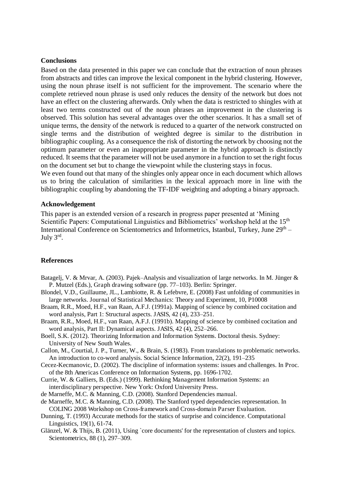#### **Conclusions**

Based on the data presented in this paper we can conclude that the extraction of noun phrases from abstracts and titles can improve the lexical component in the hybrid clustering. However, using the noun phrase itself is not sufficient for the improvement. The scenario where the complete retrieved noun phrase is used only reduces the density of the network but does not have an effect on the clustering afterwards. Only when the data is restricted to shingles with at least two terms constructed out of the noun phrases an improvement in the clustering is observed. This solution has several advantages over the other scenarios. It has a small set of unique terms, the density of the network is reduced to a quarter of the network constructed on single terms and the distribution of weighted degree is similar to the distribution in bibliographic coupling. As a consequence the risk of distorting the network by choosing not the optimum parameter or even an inappropriate parameter in the hybrid approach is distinctly reduced. It seems that the parameter will not be used anymore in a function to set the right focus on the document set but to change the viewpoint while the clustering stays in focus. We even found out that many of the shingles only appear once in each document which allows

us to bring the calculation of similarities in the lexical approach more in line with the bibliographic coupling by abandoning the TF-IDF weighting and adopting a binary approach.

#### **Acknowledgement**

This paper is an extended version of a research in progress paper presented at 'Mining Scientific Papers: Computational Linguistics and Bibliometrics' workshop held at the 15<sup>th</sup> International Conference on Scientometrics and Informetrics, Istanbul, Turkey, June 29<sup>th</sup> – July 3rd .

#### **References**

- Batagelj, V. & Mrvar, A. (2003). Pajek–Analysis and visualization of large networks. In M. Jünger & P. Mutzel (Eds.), Graph drawing software (pp. 77–103). Berlin: Springer.
- Blondel, V.D., Guillaume, JL., Lambiotte, R. & Lefebvre, E. (2008) Fast unfolding of communities in large networks. Journal of Statistical Mechanics: Theory and Experiment, 10, P10008
- Braam, R.R., Moed, H.F., van Raan, A.F.J. (1991a). Mapping of science by combined cocitation and word analysis, Part 1: Structural aspects. JASIS, 42 (4), 233–251.
- Braam, R.R., Moed, H.F., van Raan, A.F.J. (1991b). Mapping of science by combined cocitation and word analysis, Part II: Dynamical aspects. JASIS, 42 (4), 252–266.
- Boell, S.K. (2012). Theorizing Information and Information Systems. Doctoral thesis. Sydney: University of New South Wales.
- Callon, M., Courtial, J. P., Turner, W., & Brain, S. (1983). From translations to problematic networks. An introduction to co-word analysis. Social Science Information, 22(2), 191–235
- Cecez-Kecmanovic, D. (2002). The discipline of information systems: issues and challenges. In Proc. of the 8th Americas Conference on Information Systems, pp. 1696-1702.
- Currie, W. & Galliers, B. (Eds.) (1999). Rethinking Management Information Systems: an interdisciplinary perspective. New York: Oxford University Press.
- de Marneffe, M.C. & Manning, C.D. (2008). Stanford Dependencies manual.
- de Marneffe, M.C. & Manning, C.D. (2008). The Stanford typed dependencies representation. In COLING 2008 Workshop on Cross-framework and Cross-domain Parser Evaluation.
- Dunning, T. (1993) Accurate methods for the statics of surprise and coincidence. Computational Linguistics, 19(1), 61-74.
- Glänzel, W. & Thijs, B. (2011), Using `core documents' for the representation of clusters and topics. Scientometrics, 88 (1), 297–309.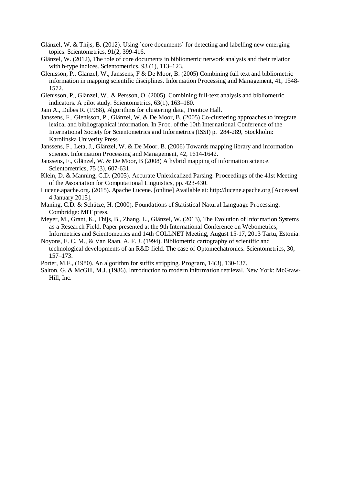- Glänzel, W. & Thijs, B. (2012). Using `core documents` for detecting and labelling new emerging topics. Scientometrics, 91(2, 399-416.
- Glänzel, W. (2012), The role of core documents in bibliometric network analysis and their relation with h-type indices. Scientometrics, 93 (1), 113–123.
- Glenisson, P., Glänzel, W., Janssens, F & De Moor, B. (2005) Combining full text and bibliometric information in mapping scientific disciplines. Information Processing and Management, 41, 1548- 1572.

Glenisson, P., Glänzel, W., & Persson, O. (2005). Combining full-text analysis and bibliometric indicators. A pilot study. Scientometrics, 63(1), 163–180.

- Jain A., Dubes R. (1988), Algorithms for clustering data, Prentice Hall.
- Janssens, F., Glenisson, P., Glänzel, W. & De Moor, B. (2005) Co-clustering approaches to integrate lexical and bibliographical information. In Proc. of the 10th International Conference of the International Society for Scientometrics and Informetrics (ISSI) p. 284-289, Stockholm: Karolinska Univerity Press
- Janssens, F., Leta, J., Glänzel, W. & De Moor, B. (2006) Towards mapping library and information science. Information Processing and Management, 42, 1614-1642.
- Janssens, F., Glänzel, W. & De Moor, B (2008) A hybrid mapping of information science. Scientometrics, 75 (3), 607-631.
- Klein, D. & Manning, C.D. (2003). Accurate Unlexicalized Parsing. Proceedings of the 41st Meeting of the Association for Computational Linguistics, pp. 423-430.
- Lucene.apache.org. (2015). Apache Lucene. [online] Available at: http://lucene.apache.org [Accessed 4 January 2015].
- Maning, C.D. & Schütze, H. (2000), Foundations of Statistical Natural Language Processing. Combridge: MIT press.
- Meyer, M., Grant, K., Thijs, B., Zhang, L., Glänzel, W. (2013), The Evolution of Information Systems as a Research Field. Paper presented at the 9th International Conference on Webometrics, Informetrics and Scientometrics and 14th COLLNET Meeting, August 15-17, 2013 Tartu, Estonia.
- Noyons, E. C. M., & Van Raan, A. F. J. (1994). Bibliometric cartography of scientific and technological developments of an R&D field. The case of Optomechatronics. Scientometrics, 30, 157–173.
- Porter, M.F., (1980). An algorithm for suffix stripping. Program, 14(3), 130-137.
- Salton, G. & McGill, M.J. (1986). Introduction to modern information retrieval. New York: McGraw-Hill, Inc.